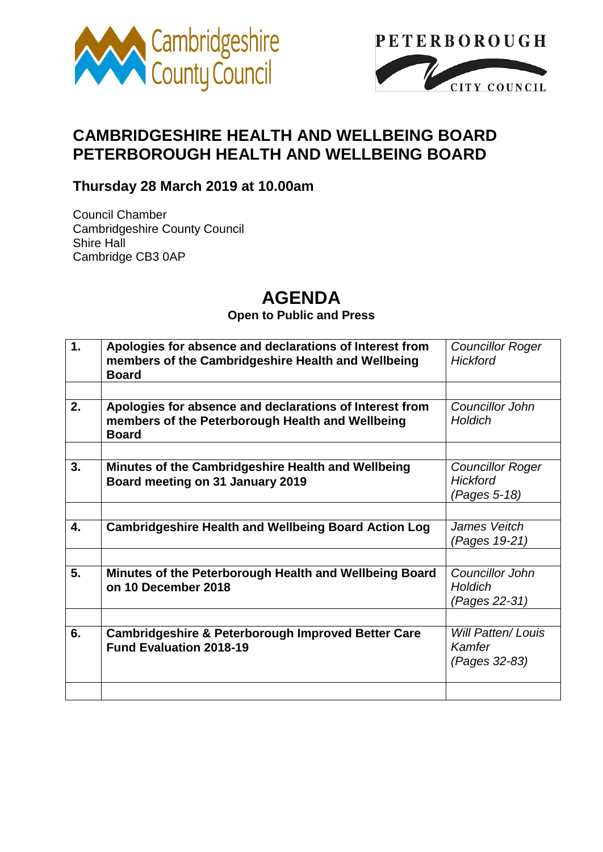



# **CAMBRIDGESHIRE HEALTH AND WELLBEING BOARD PETERBOROUGH HEALTH AND WELLBEING BOARD**

## **Thursday 28 March 2019 at 10.00am**

Council Chamber Cambridgeshire County Council Shire Hall Cambridge CB3 0AP

# **AGENDA**

#### **Open to Public and Press**

| $\mathbf{1}$ . | Apologies for absence and declarations of Interest from<br>members of the Cambridgeshire Health and Wellbeing<br><b>Board</b> | <b>Councillor Roger</b><br><b>Hickford</b>                 |
|----------------|-------------------------------------------------------------------------------------------------------------------------------|------------------------------------------------------------|
|                |                                                                                                                               |                                                            |
| 2.             | Apologies for absence and declarations of Interest from<br>members of the Peterborough Health and Wellbeing<br><b>Board</b>   | Councillor John<br>Holdich                                 |
|                |                                                                                                                               |                                                            |
| 3.             | Minutes of the Cambridgeshire Health and Wellbeing<br>Board meeting on 31 January 2019                                        | <b>Councillor Roger</b><br><b>Hickford</b><br>(Pages 5-18) |
|                |                                                                                                                               |                                                            |
| 4.             | <b>Cambridgeshire Health and Wellbeing Board Action Log</b>                                                                   | James Veitch<br>(Pages 19-21)                              |
|                |                                                                                                                               |                                                            |
| 5.             | Minutes of the Peterborough Health and Wellbeing Board<br>on 10 December 2018                                                 | Councillor John<br>Holdich<br>(Pages 22-31)                |
|                |                                                                                                                               |                                                            |
| 6.             | <b>Cambridgeshire &amp; Peterborough Improved Better Care</b><br><b>Fund Evaluation 2018-19</b>                               | <b>Will Patten/Louis</b><br>Kamfer<br>(Pages 32-83)        |
|                |                                                                                                                               |                                                            |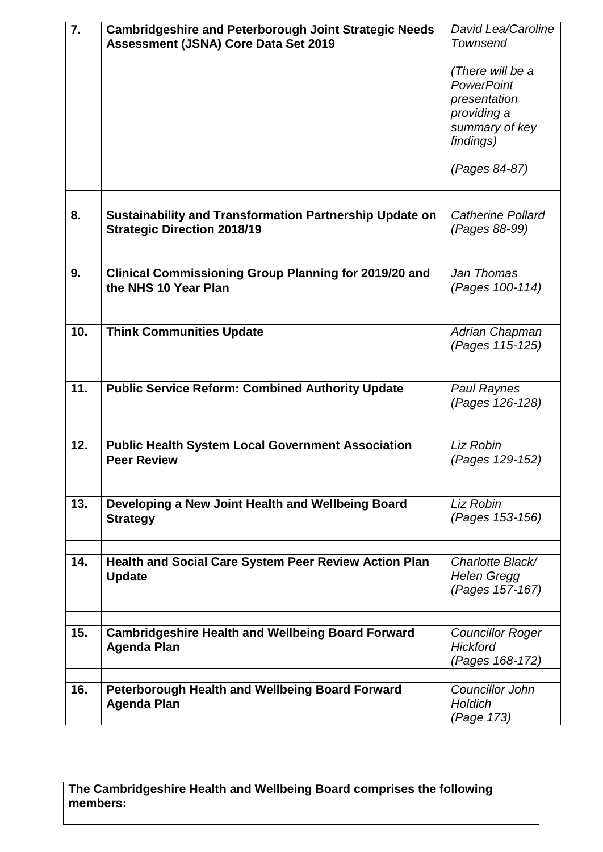| 7.  | <b>Cambridgeshire and Peterborough Joint Strategic Needs</b>                   | David Lea/Caroline                    |
|-----|--------------------------------------------------------------------------------|---------------------------------------|
|     | Assessment (JSNA) Core Data Set 2019                                           | <b>Townsend</b>                       |
|     |                                                                                |                                       |
|     |                                                                                | (There will be a                      |
|     |                                                                                | <b>PowerPoint</b>                     |
|     |                                                                                | presentation                          |
|     |                                                                                | providing a                           |
|     |                                                                                | summary of key                        |
|     |                                                                                | findings)                             |
|     |                                                                                |                                       |
|     |                                                                                | (Pages 84-87)                         |
|     |                                                                                |                                       |
| 8.  | Sustainability and Transformation Partnership Update on                        | Catherine Pollard                     |
|     | <b>Strategic Direction 2018/19</b>                                             | (Pages 88-99)                         |
|     |                                                                                |                                       |
|     |                                                                                |                                       |
| 9.  | <b>Clinical Commissioning Group Planning for 2019/20 and</b>                   | Jan Thomas                            |
|     | the NHS 10 Year Plan                                                           | (Pages 100-114)                       |
|     |                                                                                |                                       |
|     |                                                                                |                                       |
| 10. | <b>Think Communities Update</b>                                                | Adrian Chapman                        |
|     |                                                                                | (Pages 115-125)                       |
|     |                                                                                |                                       |
| 11. | <b>Public Service Reform: Combined Authority Update</b>                        | <b>Paul Raynes</b>                    |
|     |                                                                                | (Pages 126-128)                       |
|     |                                                                                |                                       |
|     |                                                                                |                                       |
| 12. | <b>Public Health System Local Government Association</b><br><b>Peer Review</b> | Liz Robin                             |
|     |                                                                                | (Pages 129-152)                       |
|     |                                                                                |                                       |
| 13. | Developing a New Joint Health and Wellbeing Board                              | Liz Robin                             |
|     | <b>Strategy</b>                                                                | (Pages 153-156)                       |
|     |                                                                                |                                       |
|     |                                                                                |                                       |
| 14. | <b>Health and Social Care System Peer Review Action Plan</b>                   | Charlotte Black/                      |
|     | <b>Update</b>                                                                  | <b>Helen Gregg</b><br>(Pages 157-167) |
|     |                                                                                |                                       |
|     |                                                                                |                                       |
| 15. | <b>Cambridgeshire Health and Wellbeing Board Forward</b>                       | <b>Councillor Roger</b>               |
|     | <b>Agenda Plan</b>                                                             | <b>Hickford</b>                       |
|     |                                                                                | (Pages 168-172)                       |
|     |                                                                                |                                       |
| 16. | <b>Peterborough Health and Wellbeing Board Forward</b>                         | Councillor John                       |
|     | <b>Agenda Plan</b>                                                             | <b>Holdich</b>                        |
|     |                                                                                | (Page 173)                            |

### **The Cambridgeshire Health and Wellbeing Board comprises the following members:**